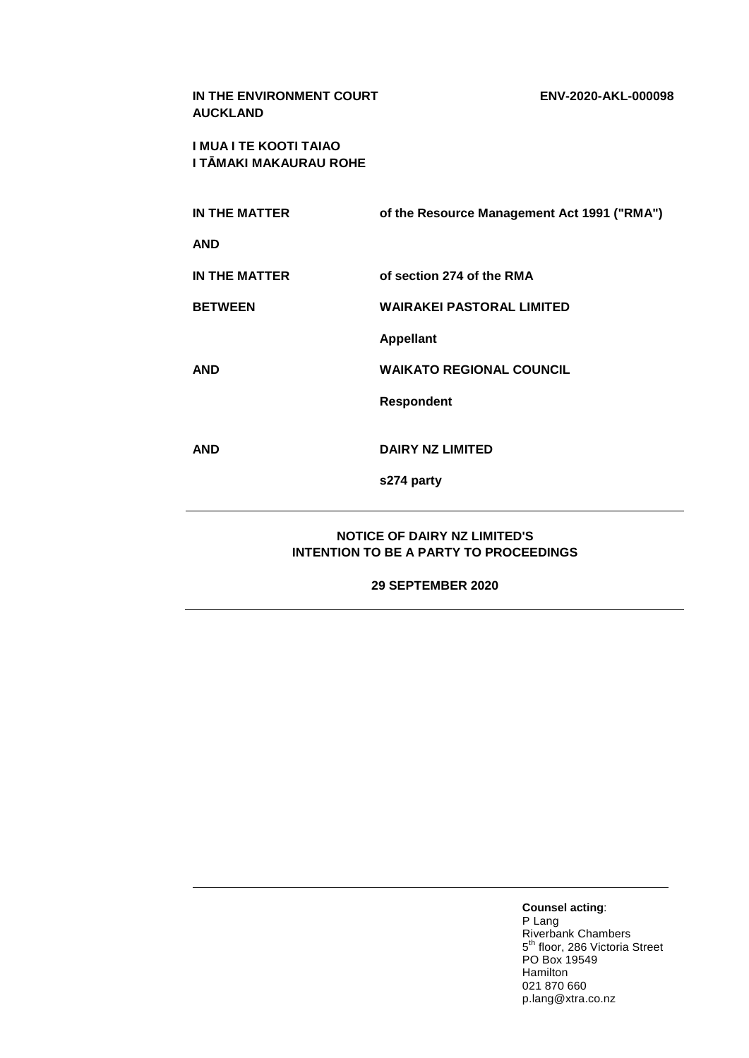| IN THE ENVIRONMENT COURT<br><b>AUCKLAND</b>             | ENV-2020-AKL-000098                         |  |
|---------------------------------------------------------|---------------------------------------------|--|
| <b>I MUA I TE KOOTI TAIAO</b><br>I TĀMAKI MAKAURAU ROHE |                                             |  |
| <b>IN THE MATTER</b>                                    | of the Resource Management Act 1991 ("RMA") |  |
| <b>AND</b>                                              |                                             |  |
| IN THE MATTER                                           | of section 274 of the RMA                   |  |
| <b>BETWEEN</b>                                          | <b>WAIRAKEI PASTORAL LIMITED</b>            |  |
|                                                         | <b>Appellant</b>                            |  |
| <b>AND</b>                                              | <b>WAIKATO REGIONAL COUNCIL</b>             |  |
|                                                         | <b>Respondent</b>                           |  |
| <b>AND</b>                                              | <b>DAIRY NZ LIMITED</b>                     |  |
|                                                         |                                             |  |
|                                                         | s274 party                                  |  |
| <b>NOTICE OF DAIRY NZ LIMITED'S</b>                     |                                             |  |

# **INTENTION TO BE A PARTY TO PROCEEDINGS**

**29 SEPTEMBER 2020**

**Counsel acting**: P Lang Riverbank Chambers 5<sup>th</sup> floor, 286 Victoria Street PO Box 19549 Hamilton 021 870 660 p.lang@xtra.co.nz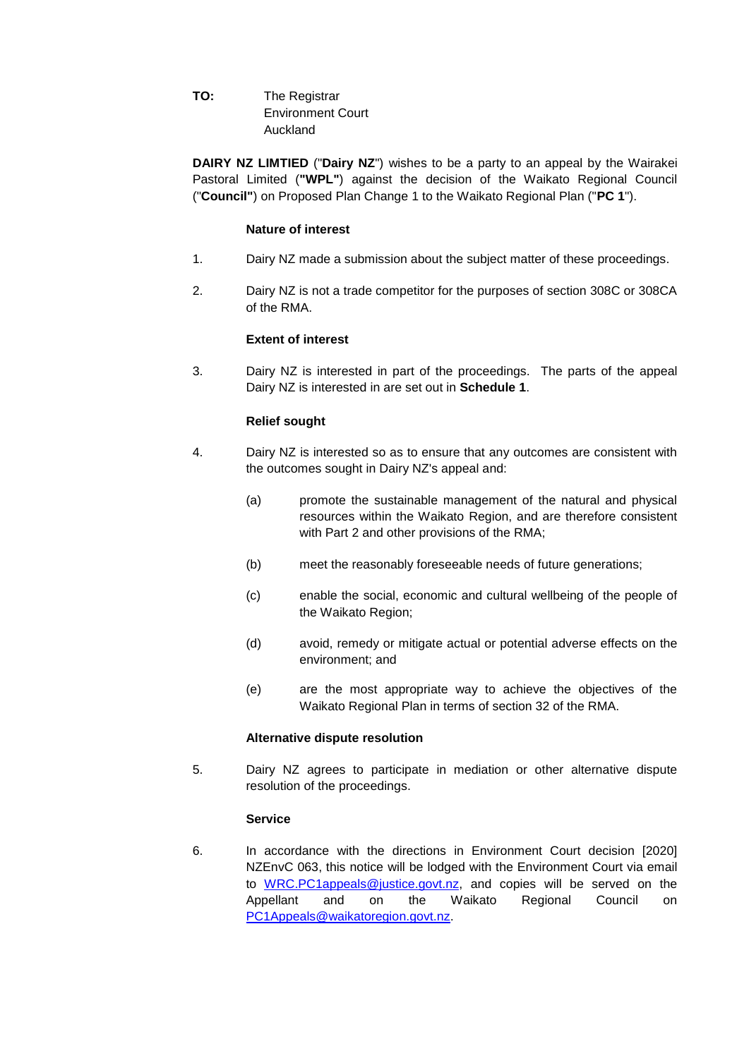**TO:** The Registrar Environment Court Auckland

**DAIRY NZ LIMTIED** ("**Dairy NZ**") wishes to be a party to an appeal by the Wairakei Pastoral Limited (**"WPL"**) against the decision of the Waikato Regional Council ("**Council"**) on Proposed Plan Change 1 to the Waikato Regional Plan ("**PC 1**").

#### **Nature of interest**

- 1. Dairy NZ made a submission about the subject matter of these proceedings.
- 2. Dairy NZ is not a trade competitor for the purposes of section 308C or 308CA of the RMA.

## **Extent of interest**

3. Dairy NZ is interested in part of the proceedings. The parts of the appeal Dairy NZ is interested in are set out in **Schedule 1**.

## **Relief sought**

- 4. Dairy NZ is interested so as to ensure that any outcomes are consistent with the outcomes sought in Dairy NZ's appeal and:
	- (a) promote the sustainable management of the natural and physical resources within the Waikato Region, and are therefore consistent with Part 2 and other provisions of the RMA;
	- (b) meet the reasonably foreseeable needs of future generations;
	- (c) enable the social, economic and cultural wellbeing of the people of the Waikato Region;
	- (d) avoid, remedy or mitigate actual or potential adverse effects on the environment; and
	- (e) are the most appropriate way to achieve the objectives of the Waikato Regional Plan in terms of section 32 of the RMA.

#### **Alternative dispute resolution**

5. Dairy NZ agrees to participate in mediation or other alternative dispute resolution of the proceedings.

## **Service**

6. In accordance with the directions in Environment Court decision [2020] NZEnvC 063, this notice will be lodged with the Environment Court via email to [WRC.PC1appeals@justice.govt.nz,](mailto:WRC.PC1appeals@justice.govt.nz) and copies will be served on the Appellant and on the Waikato Regional Council on [PC1Appeals@waikatoregion.govt.nz.](mailto:PC1Appeals@waikatoregion.govt.nz)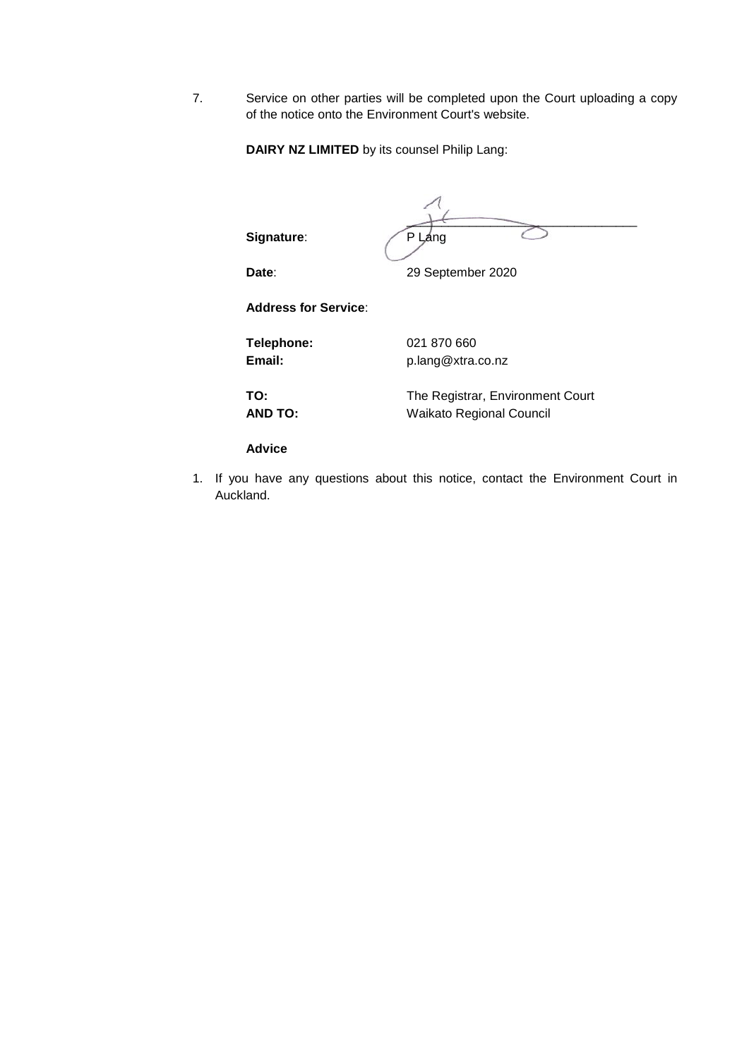7. Service on other parties will be completed upon the Court uploading a copy of the notice onto the Environment Court's website.

**DAIRY NZ LIMITED** by its counsel Philip Lang:

| Signature:                  | P Láng                                                              |
|-----------------------------|---------------------------------------------------------------------|
| Date:                       | 29 September 2020                                                   |
| <b>Address for Service:</b> |                                                                     |
| Telephone:<br>Email:        | 021 870 660<br>p.lang@xtra.co.nz                                    |
| TO:<br><b>AND TO:</b>       | The Registrar, Environment Court<br><b>Waikato Regional Council</b> |
| <b>Advice</b>               |                                                                     |

1. If you have any questions about this notice, contact the Environment Court in Auckland.